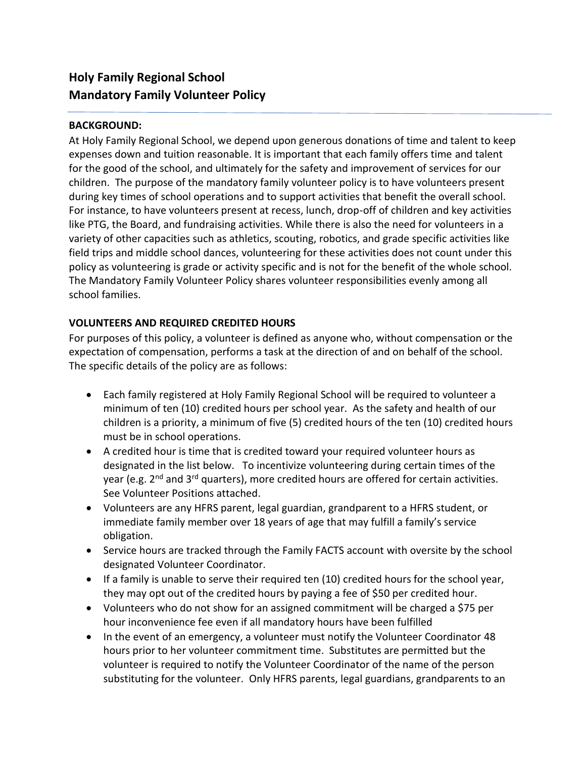# **Holy Family Regional School Mandatory Family Volunteer Policy**

#### **BACKGROUND:**

At Holy Family Regional School, we depend upon generous donations of time and talent to keep expenses down and tuition reasonable. It is important that each family offers time and talent for the good of the school, and ultimately for the safety and improvement of services for our children. The purpose of the mandatory family volunteer policy is to have volunteers present during key times of school operations and to support activities that benefit the overall school. For instance, to have volunteers present at recess, lunch, drop-off of children and key activities like PTG, the Board, and fundraising activities. While there is also the need for volunteers in a variety of other capacities such as athletics, scouting, robotics, and grade specific activities like field trips and middle school dances, volunteering for these activities does not count under this policy as volunteering is grade or activity specific and is not for the benefit of the whole school. The Mandatory Family Volunteer Policy shares volunteer responsibilities evenly among all school families.

#### **VOLUNTEERS AND REQUIRED CREDITED HOURS**

For purposes of this policy, a volunteer is defined as anyone who, without compensation or the expectation of compensation, performs a task at the direction of and on behalf of the school. The specific details of the policy are as follows:

- Each family registered at Holy Family Regional School will be required to volunteer a minimum of ten (10) credited hours per school year. As the safety and health of our children is a priority, a minimum of five (5) credited hours of the ten (10) credited hours must be in school operations.
- A credited hour is time that is credited toward your required volunteer hours as designated in the list below. To incentivize volunteering during certain times of the year (e.g. 2<sup>nd</sup> and 3<sup>rd</sup> quarters), more credited hours are offered for certain activities. See Volunteer Positions attached.
- Volunteers are any HFRS parent, legal guardian, grandparent to a HFRS student, or immediate family member over 18 years of age that may fulfill a family's service obligation.
- Service hours are tracked through the Family FACTS account with oversite by the school designated Volunteer Coordinator.
- If a family is unable to serve their required ten (10) credited hours for the school year, they may opt out of the credited hours by paying a fee of \$50 per credited hour.
- Volunteers who do not show for an assigned commitment will be charged a \$75 per hour inconvenience fee even if all mandatory hours have been fulfilled
- In the event of an emergency, a volunteer must notify the Volunteer Coordinator 48 hours prior to her volunteer commitment time. Substitutes are permitted but the volunteer is required to notify the Volunteer Coordinator of the name of the person substituting for the volunteer. Only HFRS parents, legal guardians, grandparents to an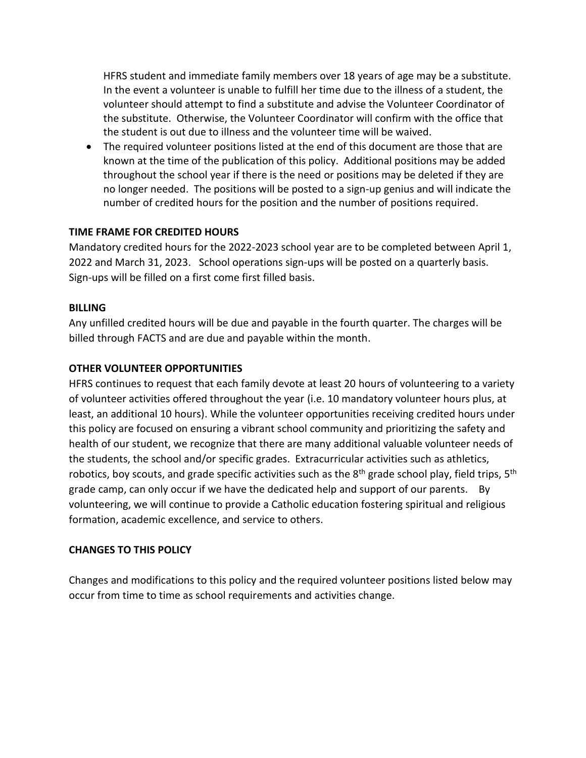HFRS student and immediate family members over 18 years of age may be a substitute. In the event a volunteer is unable to fulfill her time due to the illness of a student, the volunteer should attempt to find a substitute and advise the Volunteer Coordinator of the substitute. Otherwise, the Volunteer Coordinator will confirm with the office that the student is out due to illness and the volunteer time will be waived.

• The required volunteer positions listed at the end of this document are those that are known at the time of the publication of this policy. Additional positions may be added throughout the school year if there is the need or positions may be deleted if they are no longer needed. The positions will be posted to a sign-up genius and will indicate the number of credited hours for the position and the number of positions required.

#### **TIME FRAME FOR CREDITED HOURS**

Mandatory credited hours for the 2022-2023 school year are to be completed between April 1, 2022 and March 31, 2023. School operations sign-ups will be posted on a quarterly basis. Sign-ups will be filled on a first come first filled basis.

#### **BILLING**

Any unfilled credited hours will be due and payable in the fourth quarter. The charges will be billed through FACTS and are due and payable within the month.

## **OTHER VOLUNTEER OPPORTUNITIES**

HFRS continues to request that each family devote at least 20 hours of volunteering to a variety of volunteer activities offered throughout the year (i.e. 10 mandatory volunteer hours plus, at least, an additional 10 hours). While the volunteer opportunities receiving credited hours under this policy are focused on ensuring a vibrant school community and prioritizing the safety and health of our student, we recognize that there are many additional valuable volunteer needs of the students, the school and/or specific grades. Extracurricular activities such as athletics, robotics, boy scouts, and grade specific activities such as the  $8<sup>th</sup>$  grade school play, field trips,  $5<sup>th</sup>$ grade camp, can only occur if we have the dedicated help and support of our parents. By volunteering, we will continue to provide a Catholic education fostering spiritual and religious formation, academic excellence, and service to others.

# **CHANGES TO THIS POLICY**

Changes and modifications to this policy and the required volunteer positions listed below may occur from time to time as school requirements and activities change.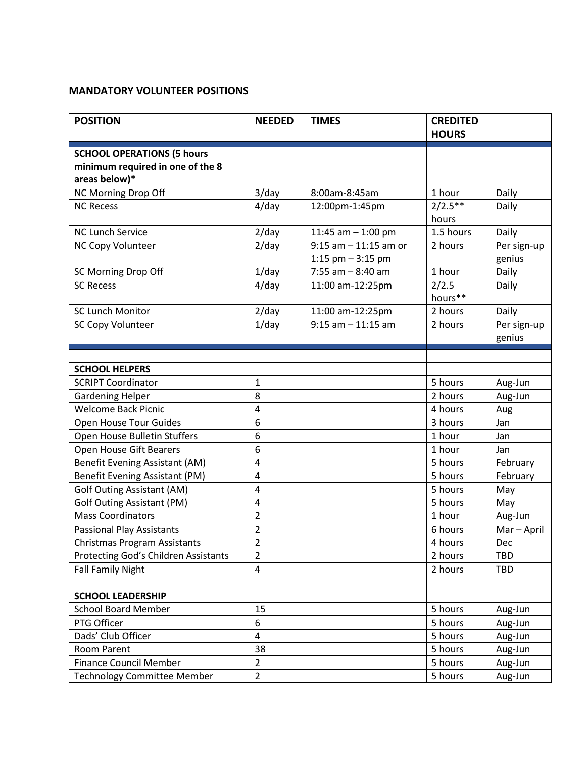## **MANDATORY VOLUNTEER POSITIONS**

| <b>POSITION</b>                                                       | <b>NEEDED</b>           | <b>TIMES</b>             | <b>CREDITED</b><br><b>HOURS</b> |             |
|-----------------------------------------------------------------------|-------------------------|--------------------------|---------------------------------|-------------|
|                                                                       |                         |                          |                                 |             |
| <b>SCHOOL OPERATIONS (5 hours</b><br>minimum required in one of the 8 |                         |                          |                                 |             |
| areas below)*                                                         |                         |                          |                                 |             |
| NC Morning Drop Off                                                   | $3$ /day                | 8:00am-8:45am            | 1 hour                          | Daily       |
| <b>NC Recess</b>                                                      | $4$ /day                | 12:00pm-1:45pm           | $2/2.5***$                      | Daily       |
|                                                                       |                         |                          | hours                           |             |
| <b>NC Lunch Service</b>                                               | $2$ /day                | 11:45 am $-$ 1:00 pm     | 1.5 hours                       | Daily       |
| NC Copy Volunteer                                                     | $2$ /day                | $9:15$ am $-11:15$ am or | 2 hours                         | Per sign-up |
|                                                                       |                         | 1:15 pm $-$ 3:15 pm      |                                 | genius      |
| SC Morning Drop Off                                                   | $1$ /day                | $7:55$ am $-8:40$ am     | 1 hour                          | Daily       |
| <b>SC Recess</b>                                                      | $4$ /day                | 11:00 am-12:25pm         | 2/2.5                           | Daily       |
|                                                                       |                         |                          | hours**                         |             |
| <b>SC Lunch Monitor</b>                                               | $2$ /day                | 11:00 am-12:25pm         | 2 hours                         | Daily       |
| SC Copy Volunteer                                                     | $1$ /day                | $9:15$ am $-11:15$ am    | 2 hours                         | Per sign-up |
|                                                                       |                         |                          |                                 | genius      |
|                                                                       |                         |                          |                                 |             |
| <b>SCHOOL HELPERS</b>                                                 |                         |                          |                                 |             |
| <b>SCRIPT Coordinator</b>                                             | $\mathbf{1}$            |                          | 5 hours                         | Aug-Jun     |
| <b>Gardening Helper</b>                                               | 8                       |                          | 2 hours                         | Aug-Jun     |
| <b>Welcome Back Picnic</b>                                            | $\overline{\mathbf{4}}$ |                          | 4 hours                         | Aug         |
| Open House Tour Guides                                                | 6                       |                          | 3 hours                         | Jan         |
| Open House Bulletin Stuffers                                          | 6                       |                          | 1 hour                          | Jan         |
| Open House Gift Bearers                                               | 6                       |                          | 1 hour                          | Jan         |
| <b>Benefit Evening Assistant (AM)</b>                                 | $\overline{\mathbf{4}}$ |                          | 5 hours                         | February    |
| Benefit Evening Assistant (PM)                                        | 4                       |                          | 5 hours                         | February    |
| <b>Golf Outing Assistant (AM)</b>                                     | $\overline{\mathbf{4}}$ |                          | 5 hours                         | May         |
| <b>Golf Outing Assistant (PM)</b>                                     | $\overline{\mathbf{4}}$ |                          | 5 hours                         | May         |
| <b>Mass Coordinators</b>                                              | $\overline{2}$          |                          | 1 hour                          | Aug-Jun     |
| <b>Passional Play Assistants</b>                                      | $\overline{2}$          |                          | 6 hours                         | Mar-April   |
| Christmas Program Assistants                                          | 2                       |                          | 4 hours                         | Dec         |
| Protecting God's Children Assistants                                  | $\overline{2}$          |                          | 2 hours                         | <b>TBD</b>  |
| <b>Fall Family Night</b>                                              | $\overline{\mathbf{4}}$ |                          | 2 hours                         | <b>TBD</b>  |
| <b>SCHOOL LEADERSHIP</b>                                              |                         |                          |                                 |             |
| <b>School Board Member</b>                                            | 15                      |                          | 5 hours                         | Aug-Jun     |
| PTG Officer                                                           | 6                       |                          | 5 hours                         | Aug-Jun     |
| Dads' Club Officer                                                    | $\overline{4}$          |                          | 5 hours                         | Aug-Jun     |
| Room Parent                                                           | 38                      |                          | 5 hours                         | Aug-Jun     |
| <b>Finance Council Member</b>                                         | $\overline{2}$          |                          | 5 hours                         | Aug-Jun     |
| <b>Technology Committee Member</b>                                    | $\overline{2}$          |                          | 5 hours                         | Aug-Jun     |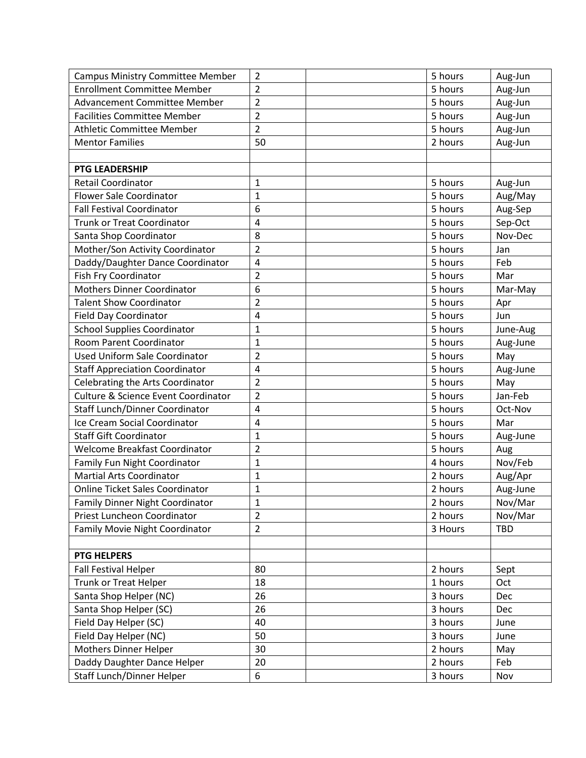| <b>Campus Ministry Committee Member</b>        | $\overline{2}$ | 5 hours | Aug-Jun    |
|------------------------------------------------|----------------|---------|------------|
| <b>Enrollment Committee Member</b>             | $\overline{2}$ | 5 hours | Aug-Jun    |
| <b>Advancement Committee Member</b>            | $\overline{2}$ | 5 hours | Aug-Jun    |
| <b>Facilities Committee Member</b>             | $\overline{2}$ | 5 hours | Aug-Jun    |
| <b>Athletic Committee Member</b>               | $\overline{2}$ | 5 hours | Aug-Jun    |
| <b>Mentor Families</b>                         | 50             | 2 hours | Aug-Jun    |
|                                                |                |         |            |
| PTG LEADERSHIP                                 |                |         |            |
| Retail Coordinator                             | $\mathbf{1}$   | 5 hours | Aug-Jun    |
| <b>Flower Sale Coordinator</b>                 | $\mathbf{1}$   | 5 hours | Aug/May    |
| <b>Fall Festival Coordinator</b>               | 6              | 5 hours | Aug-Sep    |
| <b>Trunk or Treat Coordinator</b>              | 4              | 5 hours | Sep-Oct    |
| Santa Shop Coordinator                         | 8              | 5 hours | Nov-Dec    |
| Mother/Son Activity Coordinator                | $\overline{2}$ | 5 hours | Jan        |
| Daddy/Daughter Dance Coordinator               | 4              | 5 hours | Feb        |
| Fish Fry Coordinator                           | $\overline{2}$ | 5 hours | Mar        |
| <b>Mothers Dinner Coordinator</b>              | 6              | 5 hours | Mar-May    |
| <b>Talent Show Coordinator</b>                 | $\overline{2}$ | 5 hours | Apr        |
| <b>Field Day Coordinator</b>                   | 4              | 5 hours | Jun        |
| <b>School Supplies Coordinator</b>             | $\mathbf{1}$   | 5 hours | June-Aug   |
| Room Parent Coordinator                        | $\mathbf{1}$   | 5 hours | Aug-June   |
| Used Uniform Sale Coordinator                  | $\overline{2}$ | 5 hours | May        |
| <b>Staff Appreciation Coordinator</b>          | 4              | 5 hours | Aug-June   |
| Celebrating the Arts Coordinator               | $\overline{2}$ | 5 hours | May        |
| <b>Culture &amp; Science Event Coordinator</b> | $\overline{2}$ | 5 hours | Jan-Feb    |
| Staff Lunch/Dinner Coordinator                 | 4              | 5 hours | Oct-Nov    |
| Ice Cream Social Coordinator                   | 4              | 5 hours | Mar        |
| <b>Staff Gift Coordinator</b>                  | $\mathbf{1}$   | 5 hours | Aug-June   |
| Welcome Breakfast Coordinator                  | $\overline{2}$ | 5 hours | Aug        |
| Family Fun Night Coordinator                   | $\mathbf{1}$   | 4 hours | Nov/Feb    |
| <b>Martial Arts Coordinator</b>                | $\mathbf{1}$   | 2 hours | Aug/Apr    |
| <b>Online Ticket Sales Coordinator</b>         | 1              | 2 hours | Aug-June   |
| Family Dinner Night Coordinator                | 1              | 2 hours | Nov/Mar    |
| Priest Luncheon Coordinator                    | $\overline{2}$ | 2 hours | Nov/Mar    |
| Family Movie Night Coordinator                 | $\overline{2}$ | 3 Hours | <b>TBD</b> |
|                                                |                |         |            |
| <b>PTG HELPERS</b>                             |                |         |            |
| Fall Festival Helper                           | 80             | 2 hours | Sept       |
| <b>Trunk or Treat Helper</b>                   | 18             | 1 hours | Oct        |
| Santa Shop Helper (NC)                         | 26             | 3 hours | Dec        |
| Santa Shop Helper (SC)                         | 26             | 3 hours | Dec        |
| Field Day Helper (SC)                          | 40             | 3 hours | June       |
| Field Day Helper (NC)                          | 50             | 3 hours | June       |
| Mothers Dinner Helper                          | 30             | 2 hours | May        |
| Daddy Daughter Dance Helper                    | 20             | 2 hours | Feb        |
| Staff Lunch/Dinner Helper                      | 6              | 3 hours | Nov        |